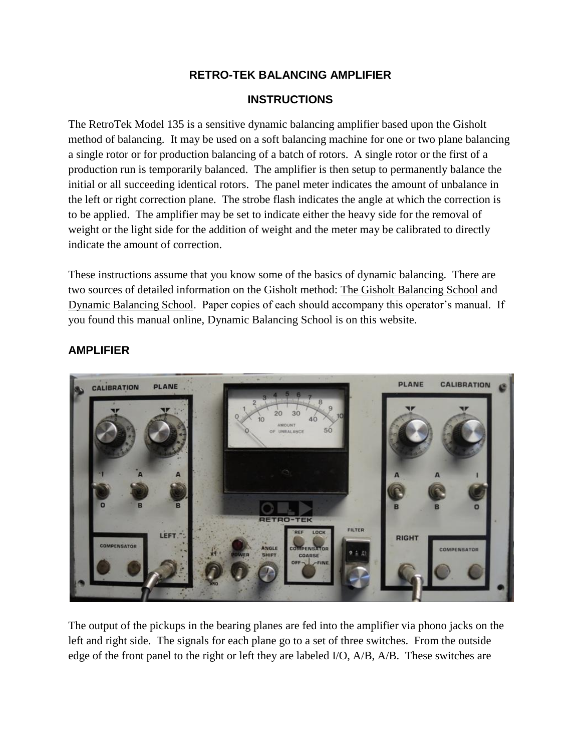### **RETRO-TEK BALANCING AMPLIFIER**

#### **INSTRUCTIONS**

The RetroTek Model 135 is a sensitive dynamic balancing amplifier based upon the Gisholt method of balancing. It may be used on a soft balancing machine for one or two plane balancing a single rotor or for production balancing of a batch of rotors. A single rotor or the first of a production run is temporarily balanced. The amplifier is then setup to permanently balance the initial or all succeeding identical rotors. The panel meter indicates the amount of unbalance in the left or right correction plane. The strobe flash indicates the angle at which the correction is to be applied. The amplifier may be set to indicate either the heavy side for the removal of weight or the light side for the addition of weight and the meter may be calibrated to directly indicate the amount of correction.

These instructions assume that you know some of the basics of dynamic balancing. There are two sources of detailed information on the Gisholt method: The Gisholt Balancing School and Dynamic Balancing School. Paper copies of each should accompany this operator's manual. If you found this manual online, Dynamic Balancing School is on this website.



#### **AMPLIFIER**

The output of the pickups in the bearing planes are fed into the amplifier via phono jacks on the left and right side. The signals for each plane go to a set of three switches. From the outside edge of the front panel to the right or left they are labeled I/O, A/B, A/B. These switches are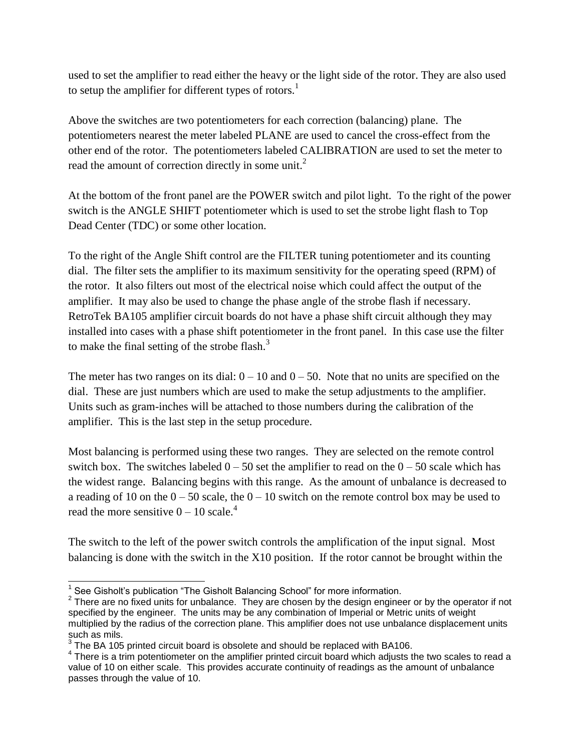used to set the amplifier to read either the heavy or the light side of the rotor. They are also used to setup the amplifier for different types of rotors.<sup>1</sup>

Above the switches are two potentiometers for each correction (balancing) plane. The potentiometers nearest the meter labeled PLANE are used to cancel the cross-effect from the other end of the rotor. The potentiometers labeled CALIBRATION are used to set the meter to read the amount of correction directly in some unit.<sup>2</sup>

At the bottom of the front panel are the POWER switch and pilot light. To the right of the power switch is the ANGLE SHIFT potentiometer which is used to set the strobe light flash to Top Dead Center (TDC) or some other location.

To the right of the Angle Shift control are the FILTER tuning potentiometer and its counting dial. The filter sets the amplifier to its maximum sensitivity for the operating speed (RPM) of the rotor. It also filters out most of the electrical noise which could affect the output of the amplifier. It may also be used to change the phase angle of the strobe flash if necessary. RetroTek BA105 amplifier circuit boards do not have a phase shift circuit although they may installed into cases with a phase shift potentiometer in the front panel. In this case use the filter to make the final setting of the strobe flash. $3$ 

The meter has two ranges on its dial:  $0 - 10$  and  $0 - 50$ . Note that no units are specified on the dial. These are just numbers which are used to make the setup adjustments to the amplifier. Units such as gram-inches will be attached to those numbers during the calibration of the amplifier. This is the last step in the setup procedure.

Most balancing is performed using these two ranges. They are selected on the remote control switch box. The switches labeled  $0 - 50$  set the amplifier to read on the  $0 - 50$  scale which has the widest range. Balancing begins with this range. As the amount of unbalance is decreased to a reading of 10 on the  $0 - 50$  scale, the  $0 - 10$  switch on the remote control box may be used to read the more sensitive  $0 - 10$  scale.<sup>4</sup>

The switch to the left of the power switch controls the amplification of the input signal. Most balancing is done with the switch in the X10 position. If the rotor cannot be brought within the

 1 See Gisholt's publication "The Gisholt Balancing School" for more information.

 $2$  There are no fixed units for unbalance. They are chosen by the design engineer or by the operator if not specified by the engineer. The units may be any combination of Imperial or Metric units of weight multiplied by the radius of the correction plane. This amplifier does not use unbalance displacement units such as mils.

 $3$  The BA 105 printed circuit board is obsolete and should be replaced with BA106.

 $4$  There is a trim potentiometer on the amplifier printed circuit board which adjusts the two scales to read a value of 10 on either scale. This provides accurate continuity of readings as the amount of unbalance passes through the value of 10.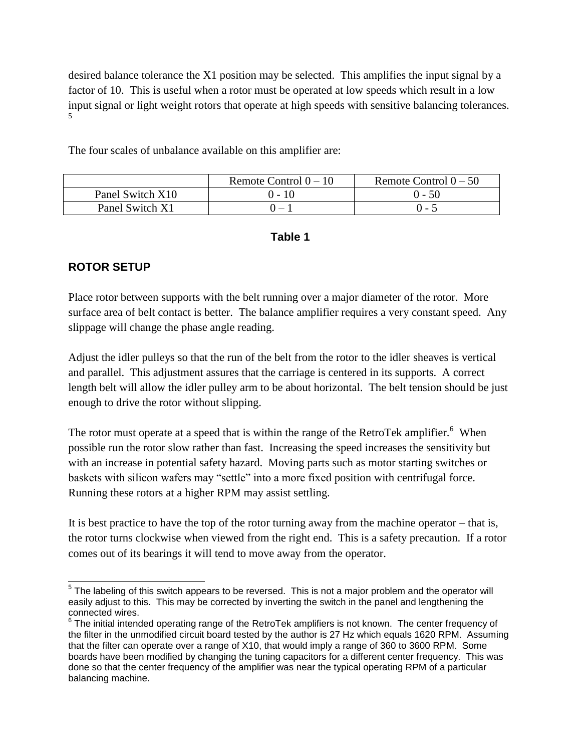desired balance tolerance the X1 position may be selected. This amplifies the input signal by a factor of 10. This is useful when a rotor must be operated at low speeds which result in a low input signal or light weight rotors that operate at high speeds with sensitive balancing tolerances. 5

The four scales of unbalance available on this amplifier are:

|                  | Remote Control $0 - 10$ | Remote Control $0 - 50$ |
|------------------|-------------------------|-------------------------|
| Panel Switch X10 | 0 - 10                  | $() - 5()$              |
| Panel Switch X1  | $\mathbf{I}$            | ۰ - ۱                   |

#### **Table 1**

### **ROTOR SETUP**

l

Place rotor between supports with the belt running over a major diameter of the rotor. More surface area of belt contact is better. The balance amplifier requires a very constant speed. Any slippage will change the phase angle reading.

Adjust the idler pulleys so that the run of the belt from the rotor to the idler sheaves is vertical and parallel. This adjustment assures that the carriage is centered in its supports. A correct length belt will allow the idler pulley arm to be about horizontal. The belt tension should be just enough to drive the rotor without slipping.

The rotor must operate at a speed that is within the range of the RetroTek amplifier.  $6$  When possible run the rotor slow rather than fast. Increasing the speed increases the sensitivity but with an increase in potential safety hazard. Moving parts such as motor starting switches or baskets with silicon wafers may "settle" into a more fixed position with centrifugal force. Running these rotors at a higher RPM may assist settling.

It is best practice to have the top of the rotor turning away from the machine operator – that is, the rotor turns clockwise when viewed from the right end. This is a safety precaution. If a rotor comes out of its bearings it will tend to move away from the operator.

 $5$  The labeling of this switch appears to be reversed. This is not a major problem and the operator will easily adjust to this. This may be corrected by inverting the switch in the panel and lengthening the connected wires.

 $6$  The initial intended operating range of the RetroTek amplifiers is not known. The center frequency of the filter in the unmodified circuit board tested by the author is 27 Hz which equals 1620 RPM. Assuming that the filter can operate over a range of X10, that would imply a range of 360 to 3600 RPM. Some boards have been modified by changing the tuning capacitors for a different center frequency. This was done so that the center frequency of the amplifier was near the typical operating RPM of a particular balancing machine.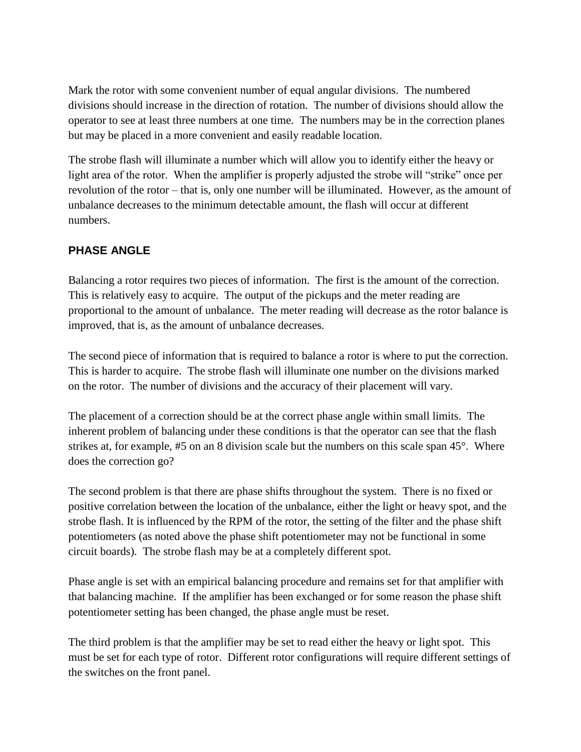Mark the rotor with some convenient number of equal angular divisions. The numbered divisions should increase in the direction of rotation. The number of divisions should allow the operator to see at least three numbers at one time. The numbers may be in the correction planes but may be placed in a more convenient and easily readable location.

The strobe flash will illuminate a number which will allow you to identify either the heavy or light area of the rotor. When the amplifier is properly adjusted the strobe will "strike" once per revolution of the rotor – that is, only one number will be illuminated. However, as the amount of unbalance decreases to the minimum detectable amount, the flash will occur at different numbers.

### **PHASE ANGLE**

Balancing a rotor requires two pieces of information. The first is the amount of the correction. This is relatively easy to acquire. The output of the pickups and the meter reading are proportional to the amount of unbalance. The meter reading will decrease as the rotor balance is improved, that is, as the amount of unbalance decreases.

The second piece of information that is required to balance a rotor is where to put the correction. This is harder to acquire. The strobe flash will illuminate one number on the divisions marked on the rotor. The number of divisions and the accuracy of their placement will vary.

The placement of a correction should be at the correct phase angle within small limits. The inherent problem of balancing under these conditions is that the operator can see that the flash strikes at, for example, #5 on an 8 division scale but the numbers on this scale span 45°. Where does the correction go?

The second problem is that there are phase shifts throughout the system. There is no fixed or positive correlation between the location of the unbalance, either the light or heavy spot, and the strobe flash. It is influenced by the RPM of the rotor, the setting of the filter and the phase shift potentiometers (as noted above the phase shift potentiometer may not be functional in some circuit boards). The strobe flash may be at a completely different spot.

Phase angle is set with an empirical balancing procedure and remains set for that amplifier with that balancing machine. If the amplifier has been exchanged or for some reason the phase shift potentiometer setting has been changed, the phase angle must be reset.

The third problem is that the amplifier may be set to read either the heavy or light spot. This must be set for each type of rotor. Different rotor configurations will require different settings of the switches on the front panel.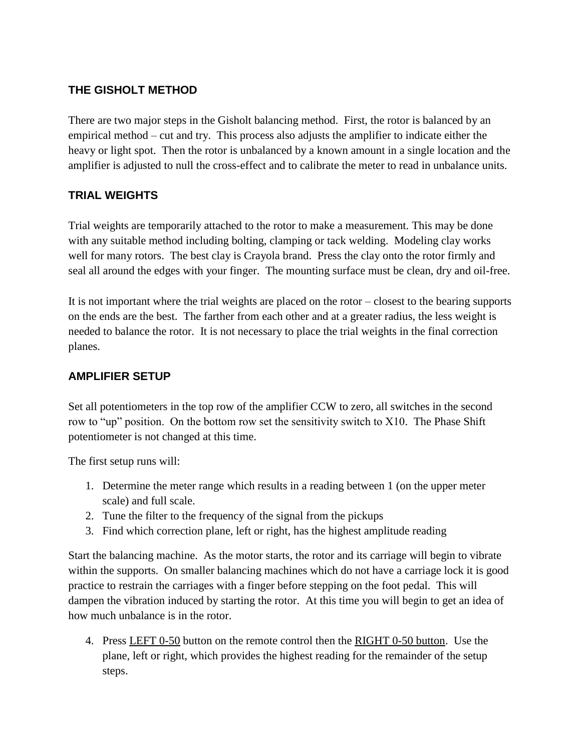# **THE GISHOLT METHOD**

There are two major steps in the Gisholt balancing method. First, the rotor is balanced by an empirical method – cut and try. This process also adjusts the amplifier to indicate either the heavy or light spot. Then the rotor is unbalanced by a known amount in a single location and the amplifier is adjusted to null the cross-effect and to calibrate the meter to read in unbalance units.

## **TRIAL WEIGHTS**

Trial weights are temporarily attached to the rotor to make a measurement. This may be done with any suitable method including bolting, clamping or tack welding. Modeling clay works well for many rotors. The best clay is Crayola brand. Press the clay onto the rotor firmly and seal all around the edges with your finger. The mounting surface must be clean, dry and oil-free.

It is not important where the trial weights are placed on the rotor – closest to the bearing supports on the ends are the best. The farther from each other and at a greater radius, the less weight is needed to balance the rotor. It is not necessary to place the trial weights in the final correction planes.

### **AMPLIFIER SETUP**

Set all potentiometers in the top row of the amplifier CCW to zero, all switches in the second row to "up" position. On the bottom row set the sensitivity switch to X10. The Phase Shift potentiometer is not changed at this time.

The first setup runs will:

- 1. Determine the meter range which results in a reading between 1 (on the upper meter scale) and full scale.
- 2. Tune the filter to the frequency of the signal from the pickups
- 3. Find which correction plane, left or right, has the highest amplitude reading

Start the balancing machine. As the motor starts, the rotor and its carriage will begin to vibrate within the supports. On smaller balancing machines which do not have a carriage lock it is good practice to restrain the carriages with a finger before stepping on the foot pedal. This will dampen the vibration induced by starting the rotor. At this time you will begin to get an idea of how much unbalance is in the rotor.

4. Press LEFT 0-50 button on the remote control then the RIGHT 0-50 button. Use the plane, left or right, which provides the highest reading for the remainder of the setup steps.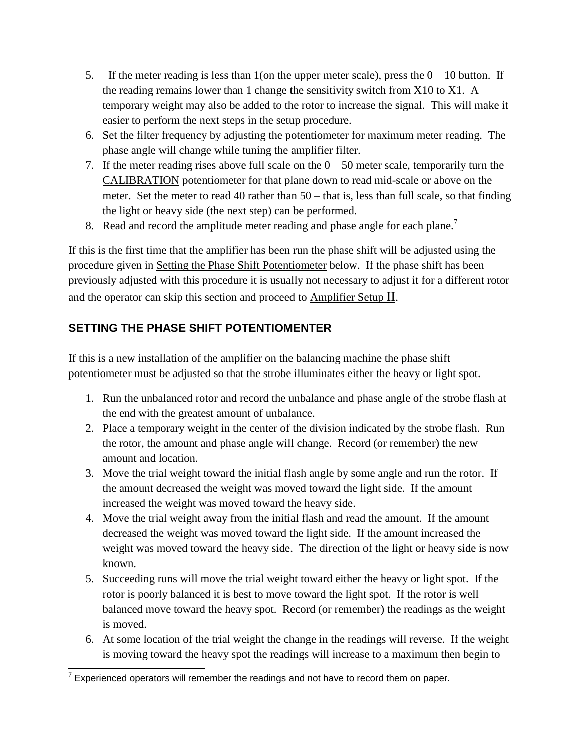- 5. If the meter reading is less than 1 (on the upper meter scale), press the  $0 10$  button. If the reading remains lower than 1 change the sensitivity switch from X10 to X1. A temporary weight may also be added to the rotor to increase the signal. This will make it easier to perform the next steps in the setup procedure.
- 6. Set the filter frequency by adjusting the potentiometer for maximum meter reading. The phase angle will change while tuning the amplifier filter.
- 7. If the meter reading rises above full scale on the  $0 50$  meter scale, temporarily turn the CALIBRATION potentiometer for that plane down to read mid-scale or above on the meter. Set the meter to read 40 rather than 50 – that is, less than full scale, so that finding the light or heavy side (the next step) can be performed.
- 8. Read and record the amplitude meter reading and phase angle for each plane.<sup>7</sup>

If this is the first time that the amplifier has been run the phase shift will be adjusted using the procedure given in Setting the Phase Shift Potentiometer below. If the phase shift has been previously adjusted with this procedure it is usually not necessary to adjust it for a different rotor and the operator can skip this section and proceed to Amplifier Setup II.

## **SETTING THE PHASE SHIFT POTENTIOMENTER**

If this is a new installation of the amplifier on the balancing machine the phase shift potentiometer must be adjusted so that the strobe illuminates either the heavy or light spot.

- 1. Run the unbalanced rotor and record the unbalance and phase angle of the strobe flash at the end with the greatest amount of unbalance.
- 2. Place a temporary weight in the center of the division indicated by the strobe flash. Run the rotor, the amount and phase angle will change. Record (or remember) the new amount and location.
- 3. Move the trial weight toward the initial flash angle by some angle and run the rotor. If the amount decreased the weight was moved toward the light side. If the amount increased the weight was moved toward the heavy side.
- 4. Move the trial weight away from the initial flash and read the amount. If the amount decreased the weight was moved toward the light side. If the amount increased the weight was moved toward the heavy side. The direction of the light or heavy side is now known.
- 5. Succeeding runs will move the trial weight toward either the heavy or light spot. If the rotor is poorly balanced it is best to move toward the light spot. If the rotor is well balanced move toward the heavy spot. Record (or remember) the readings as the weight is moved.
- 6. At some location of the trial weight the change in the readings will reverse. If the weight is moving toward the heavy spot the readings will increase to a maximum then begin to

TEXPERIENCE OPERATORS WILL THE TEXPERIT CONDUCT TEXPERIENCE THE TEXPERIENT OF TEXPERIENT TEXPERIENT TEXPERIENT<br>TEXPERIENCE operators will remember the readings and not have to record them on paper.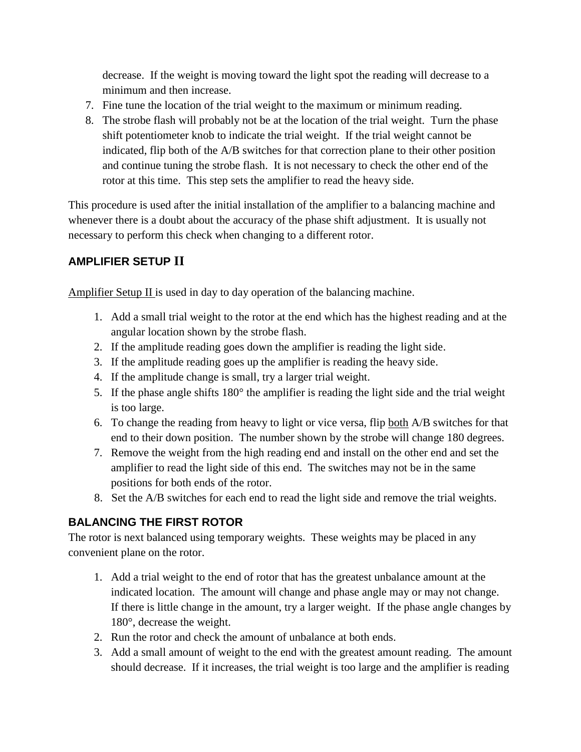decrease. If the weight is moving toward the light spot the reading will decrease to a minimum and then increase.

- 7. Fine tune the location of the trial weight to the maximum or minimum reading.
- 8. The strobe flash will probably not be at the location of the trial weight. Turn the phase shift potentiometer knob to indicate the trial weight. If the trial weight cannot be indicated, flip both of the A/B switches for that correction plane to their other position and continue tuning the strobe flash. It is not necessary to check the other end of the rotor at this time. This step sets the amplifier to read the heavy side.

This procedure is used after the initial installation of the amplifier to a balancing machine and whenever there is a doubt about the accuracy of the phase shift adjustment. It is usually not necessary to perform this check when changing to a different rotor.

# **AMPLIFIER SETUP II**

Amplifier Setup  $II$  is used in day to day operation of the balancing machine.

- 1. Add a small trial weight to the rotor at the end which has the highest reading and at the angular location shown by the strobe flash.
- 2. If the amplitude reading goes down the amplifier is reading the light side.
- 3. If the amplitude reading goes up the amplifier is reading the heavy side.
- 4. If the amplitude change is small, try a larger trial weight.
- 5. If the phase angle shifts 180° the amplifier is reading the light side and the trial weight is too large.
- 6. To change the reading from heavy to light or vice versa, flip both A/B switches for that end to their down position. The number shown by the strobe will change 180 degrees.
- 7. Remove the weight from the high reading end and install on the other end and set the amplifier to read the light side of this end. The switches may not be in the same positions for both ends of the rotor.
- 8. Set the A/B switches for each end to read the light side and remove the trial weights.

# **BALANCING THE FIRST ROTOR**

The rotor is next balanced using temporary weights. These weights may be placed in any convenient plane on the rotor.

- 1. Add a trial weight to the end of rotor that has the greatest unbalance amount at the indicated location. The amount will change and phase angle may or may not change. If there is little change in the amount, try a larger weight. If the phase angle changes by 180°, decrease the weight.
- 2. Run the rotor and check the amount of unbalance at both ends.
- 3. Add a small amount of weight to the end with the greatest amount reading. The amount should decrease. If it increases, the trial weight is too large and the amplifier is reading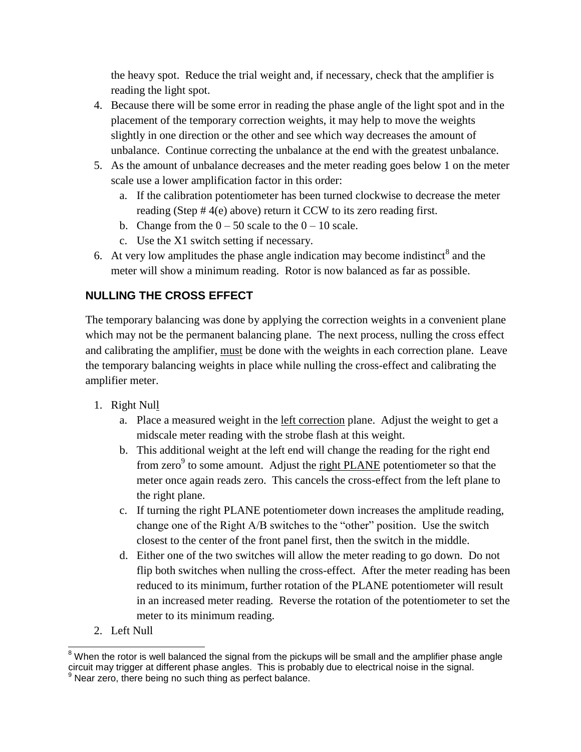the heavy spot. Reduce the trial weight and, if necessary, check that the amplifier is reading the light spot.

- 4. Because there will be some error in reading the phase angle of the light spot and in the placement of the temporary correction weights, it may help to move the weights slightly in one direction or the other and see which way decreases the amount of unbalance. Continue correcting the unbalance at the end with the greatest unbalance.
- 5. As the amount of unbalance decreases and the meter reading goes below 1 on the meter scale use a lower amplification factor in this order:
	- a. If the calibration potentiometer has been turned clockwise to decrease the meter reading (Step # 4(e) above) return it CCW to its zero reading first.
	- b. Change from the  $0 50$  scale to the  $0 10$  scale.
	- c. Use the X1 switch setting if necessary.
- 6. At very low amplitudes the phase angle indication may become indistinct<sup>8</sup> and the meter will show a minimum reading. Rotor is now balanced as far as possible.

# **NULLING THE CROSS EFFECT**

The temporary balancing was done by applying the correction weights in a convenient plane which may not be the permanent balancing plane. The next process, nulling the cross effect and calibrating the amplifier, must be done with the weights in each correction plane. Leave the temporary balancing weights in place while nulling the cross-effect and calibrating the amplifier meter.

- 1. Right Null
	- a. Place a measured weight in the left correction plane. Adjust the weight to get a midscale meter reading with the strobe flash at this weight.
	- b. This additional weight at the left end will change the reading for the right end from zero<sup>9</sup> to some amount. Adjust the right PLANE potentiometer so that the meter once again reads zero. This cancels the cross-effect from the left plane to the right plane.
	- c. If turning the right PLANE potentiometer down increases the amplitude reading, change one of the Right A/B switches to the "other" position. Use the switch closest to the center of the front panel first, then the switch in the middle.
	- d. Either one of the two switches will allow the meter reading to go down. Do not flip both switches when nulling the cross-effect. After the meter reading has been reduced to its minimum, further rotation of the PLANE potentiometer will result in an increased meter reading. Reverse the rotation of the potentiometer to set the meter to its minimum reading.
- 2. Left Null

l <sup>8</sup> When the rotor is well balanced the signal from the pickups will be small and the amplifier phase angle circuit may trigger at different phase angles. This is probably due to electrical noise in the signal. <sup>9</sup> Near zero, there being no such thing as perfect balance.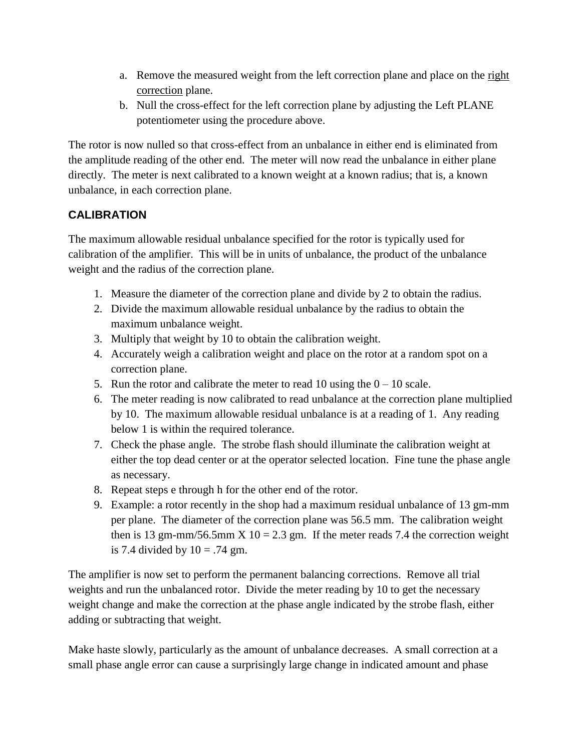- a. Remove the measured weight from the left correction plane and place on the right correction plane.
- b. Null the cross-effect for the left correction plane by adjusting the Left PLANE potentiometer using the procedure above.

The rotor is now nulled so that cross-effect from an unbalance in either end is eliminated from the amplitude reading of the other end. The meter will now read the unbalance in either plane directly. The meter is next calibrated to a known weight at a known radius; that is, a known unbalance, in each correction plane.

# **CALIBRATION**

The maximum allowable residual unbalance specified for the rotor is typically used for calibration of the amplifier. This will be in units of unbalance, the product of the unbalance weight and the radius of the correction plane.

- 1. Measure the diameter of the correction plane and divide by 2 to obtain the radius.
- 2. Divide the maximum allowable residual unbalance by the radius to obtain the maximum unbalance weight.
- 3. Multiply that weight by 10 to obtain the calibration weight.
- 4. Accurately weigh a calibration weight and place on the rotor at a random spot on a correction plane.
- 5. Run the rotor and calibrate the meter to read 10 using the  $0 10$  scale.
- 6. The meter reading is now calibrated to read unbalance at the correction plane multiplied by 10. The maximum allowable residual unbalance is at a reading of 1. Any reading below 1 is within the required tolerance.
- 7. Check the phase angle. The strobe flash should illuminate the calibration weight at either the top dead center or at the operator selected location. Fine tune the phase angle as necessary.
- 8. Repeat steps e through h for the other end of the rotor.
- 9. Example: a rotor recently in the shop had a maximum residual unbalance of 13 gm-mm per plane. The diameter of the correction plane was 56.5 mm. The calibration weight then is 13 gm-mm/56.5mm X 10 = 2.3 gm. If the meter reads 7.4 the correction weight is 7.4 divided by  $10 = .74$  gm.

The amplifier is now set to perform the permanent balancing corrections. Remove all trial weights and run the unbalanced rotor. Divide the meter reading by 10 to get the necessary weight change and make the correction at the phase angle indicated by the strobe flash, either adding or subtracting that weight.

Make haste slowly, particularly as the amount of unbalance decreases. A small correction at a small phase angle error can cause a surprisingly large change in indicated amount and phase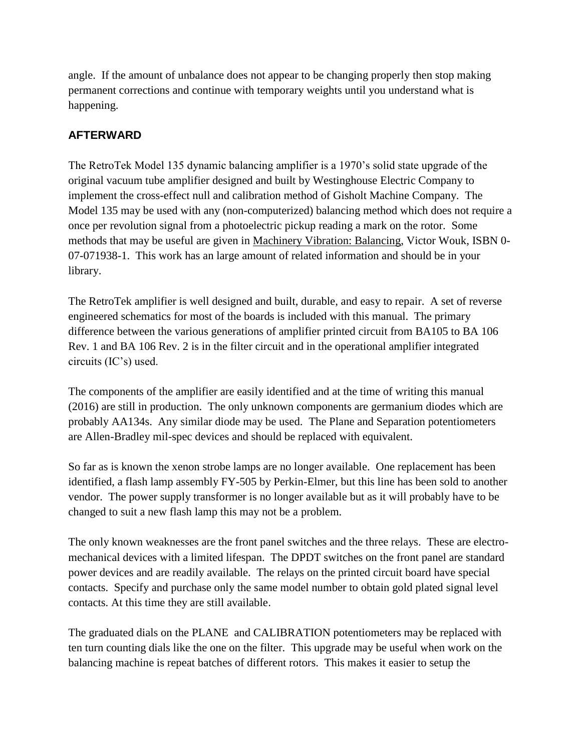angle. If the amount of unbalance does not appear to be changing properly then stop making permanent corrections and continue with temporary weights until you understand what is happening.

## **AFTERWARD**

The RetroTek Model 135 dynamic balancing amplifier is a 1970's solid state upgrade of the original vacuum tube amplifier designed and built by Westinghouse Electric Company to implement the cross-effect null and calibration method of Gisholt Machine Company. The Model 135 may be used with any (non-computerized) balancing method which does not require a once per revolution signal from a photoelectric pickup reading a mark on the rotor. Some methods that may be useful are given in Machinery Vibration: Balancing, Victor Wouk, ISBN 0- 07-071938-1. This work has an large amount of related information and should be in your library.

The RetroTek amplifier is well designed and built, durable, and easy to repair. A set of reverse engineered schematics for most of the boards is included with this manual. The primary difference between the various generations of amplifier printed circuit from BA105 to BA 106 Rev. 1 and BA 106 Rev. 2 is in the filter circuit and in the operational amplifier integrated circuits (IC's) used.

The components of the amplifier are easily identified and at the time of writing this manual (2016) are still in production. The only unknown components are germanium diodes which are probably AA134s. Any similar diode may be used. The Plane and Separation potentiometers are Allen-Bradley mil-spec devices and should be replaced with equivalent.

So far as is known the xenon strobe lamps are no longer available. One replacement has been identified, a flash lamp assembly FY-505 by Perkin-Elmer, but this line has been sold to another vendor. The power supply transformer is no longer available but as it will probably have to be changed to suit a new flash lamp this may not be a problem.

The only known weaknesses are the front panel switches and the three relays. These are electromechanical devices with a limited lifespan. The DPDT switches on the front panel are standard power devices and are readily available. The relays on the printed circuit board have special contacts. Specify and purchase only the same model number to obtain gold plated signal level contacts. At this time they are still available.

The graduated dials on the PLANE and CALIBRATION potentiometers may be replaced with ten turn counting dials like the one on the filter. This upgrade may be useful when work on the balancing machine is repeat batches of different rotors. This makes it easier to setup the